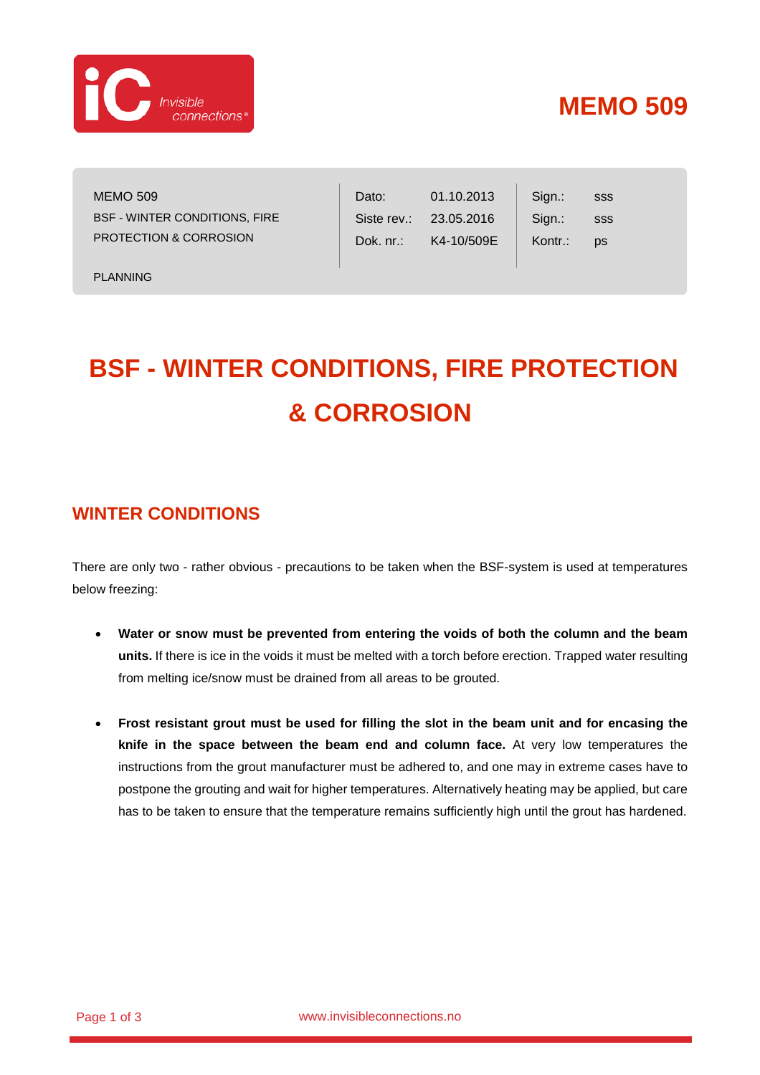

## **MEMO 509**

sss sss ps

Sign.: Sign.: Kontr.:

MEMO 509 BSF - WINTER CONDITIONS, FIRE PROTECTION & CORROSION

PLANNING

# **BSF - WINTER CONDITIONS, FIRE PROTECTION & CORROSION**

Dato:

Siste rev.: Dok. nr.:

01.10.2013 23.05.2016 K4-10/509E

#### **WINTER CONDITIONS**

There are only two - rather obvious - precautions to be taken when the BSF-system is used at temperatures below freezing:

- **Water or snow must be prevented from entering the voids of both the column and the beam units.** If there is ice in the voids it must be melted with a torch before erection. Trapped water resulting from melting ice/snow must be drained from all areas to be grouted.
- **Frost resistant grout must be used for filling the slot in the beam unit and for encasing the knife in the space between the beam end and column face.** At very low temperatures the instructions from the grout manufacturer must be adhered to, and one may in extreme cases have to postpone the grouting and wait for higher temperatures. Alternatively heating may be applied, but care has to be taken to ensure that the temperature remains sufficiently high until the grout has hardened.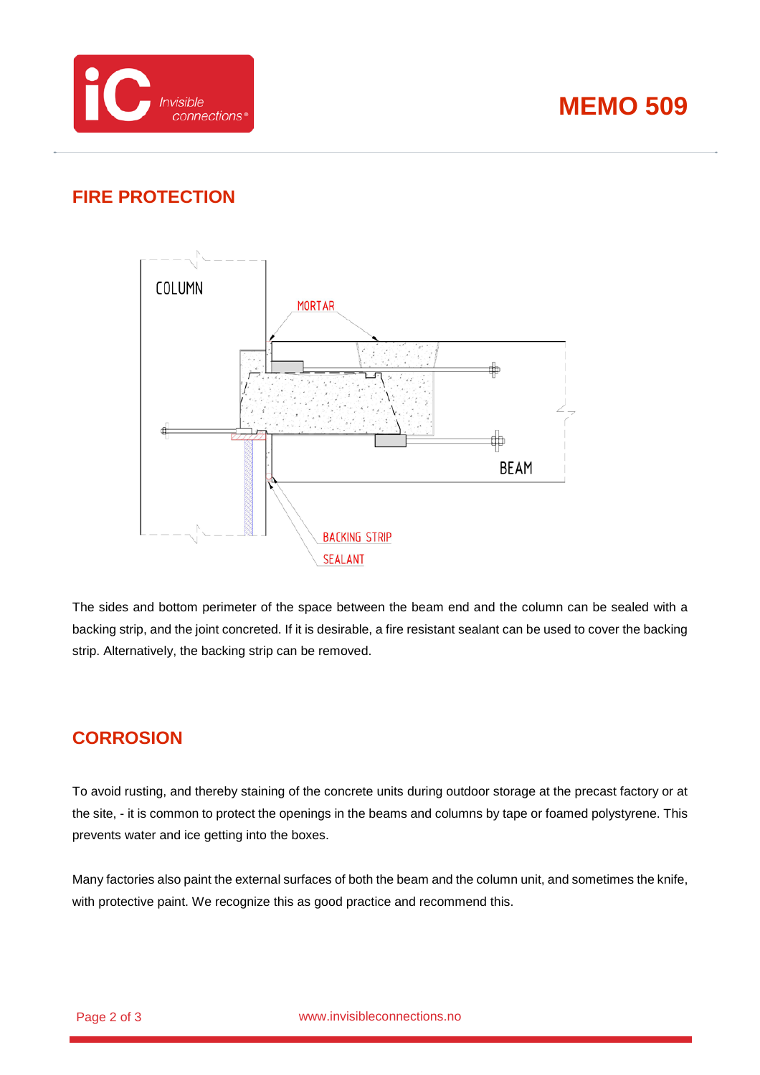



### **FIRE PROTECTION**



The sides and bottom perimeter of the space between the beam end and the column can be sealed with a backing strip, and the joint concreted. If it is desirable, a fire resistant sealant can be used to cover the backing strip. Alternatively, the backing strip can be removed.

#### **CORROSION**

To avoid rusting, and thereby staining of the concrete units during outdoor storage at the precast factory or at the site, - it is common to protect the openings in the beams and columns by tape or foamed polystyrene. This prevents water and ice getting into the boxes.

Many factories also paint the external surfaces of both the beam and the column unit, and sometimes the knife, with protective paint. We recognize this as good practice and recommend this.